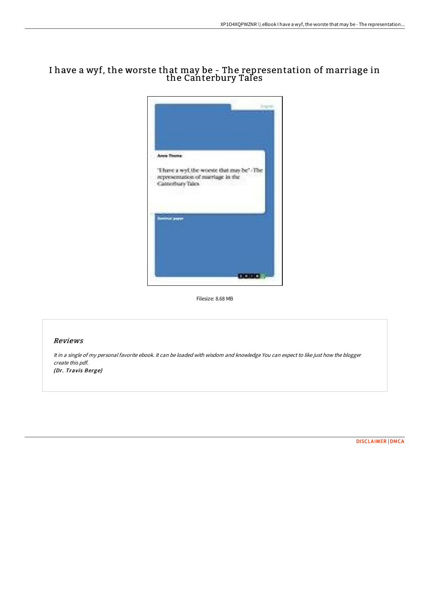## I have a wyf, the worste that may be - The representation of marriage in the Canterbury Tales



Filesize: 8.68 MB

## Reviews

It in <sup>a</sup> single of my personal favorite ebook. It can be loaded with wisdom and knowledge You can expect to like just how the blogger create this pdf. (Dr. Travis Berge)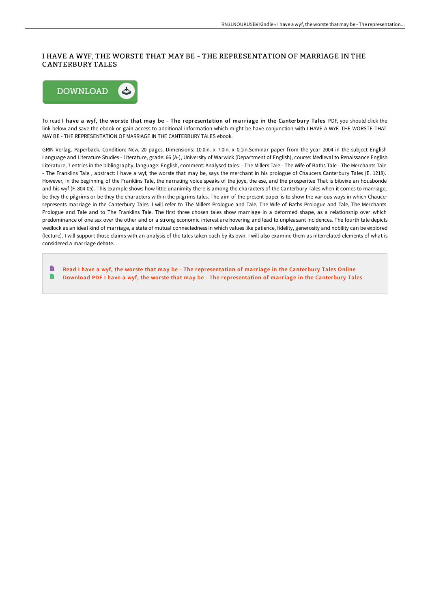## I HAVE A WYF, THE WORSTE THAT MAY BE - THE REPRESENTATION OF MARRIAGE IN THE CANTERBURY TALES



To read I have a wyf, the worste that may be - The representation of marriage in the Canterbury Tales PDF, you should click the link below and save the ebook or gain access to additional information which might be have conjunction with I HAVE A WYF, THE WORSTE THAT MAY BE - THE REPRESENTATION OF MARRIAGE IN THE CANTERBURY TALES ebook.

GRIN Verlag. Paperback. Condition: New. 20 pages. Dimensions: 10.0in. x 7.0in. x 0.1in.Seminar paper from the year 2004 in the subject English Language and Literature Studies - Literature, grade: 66 (A-), University of Warwick (Department of English), course: Medieval to Renaissance English Literature, 7 entries in the bibliography, language: English, comment: Analysed tales: - The Millers Tale - The Wife of Baths Tale - The Merchants Tale - The Franklins Tale , abstract: I have a wyf, the worste that may be, says the merchant in his prologue of Chaucers Canterbury Tales (E. 1218). However, in the beginning of the Franklins Tale, the narrating voice speaks of the joye, the ese, and the prosperitee That is bitwixe an housbonde and his wyf (F. 804-05). This example shows how little unanimity there is among the characters of the Canterbury Tales when it comes to marriage, be they the pilgrims or be they the characters within the pilgrims tales. The aim of the present paper is to show the various ways in which Chaucer represents marriage in the Canterbury Tales. I will refer to The Millers Prologue and Tale, The Wife of Baths Prologue and Tale, The Merchants Prologue and Tale and to The Franklins Tale. The first three chosen tales show marriage in a deformed shape, as a relationship over which predominance of one sex over the other and or a strong economic interest are hovering and lead to unpleasant incidences. The fourth tale depicts wedlock as an ideal kind of marriage, a state of mutual connectedness in which values like patience, fidelity, generosity and nobility can be explored (lecture). I will support those claims with an analysis of the tales taken each by its own. I will also examine them as interrelated elements of what is considered a marriage debate...

B Read I have a wyf, the worste that may be - The [representation](http://techno-pub.tech/i-have-a-wyf-the-worste-that-may-be-the-represen.html) of marriage in the Canterbury Tales Online n Download PDF I have a wyf, the worste that may be - The [representation](http://techno-pub.tech/i-have-a-wyf-the-worste-that-may-be-the-represen.html) of marriage in the Canterbury Tales